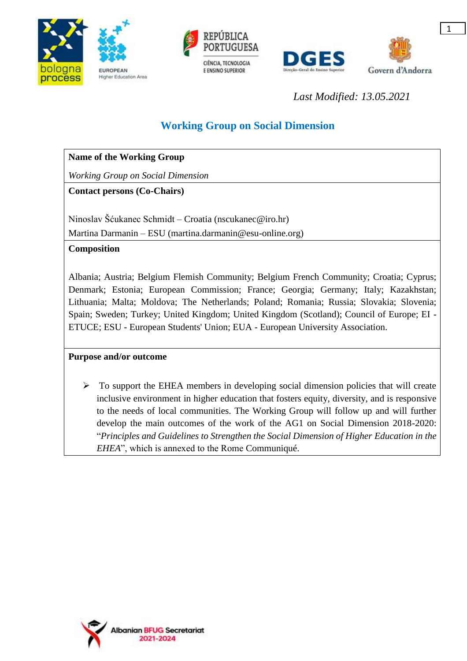





*Last Modified: 13.05.2021*

# **Working Group on Social Dimension**

| <b>Name of the Working Group</b> |
|----------------------------------|
|----------------------------------|

*Working Group on Social Dimension*

**Contact persons (Co-Chairs)**

Ninoslav Šćukanec Schmidt – Croatia (nscukanec@iro.hr)

Martina Darmanin – ESU (martina.darmanin@esu-online.org)

# **Composition**

Albania; Austria; Belgium Flemish Community; Belgium French Community; Croatia; Cyprus; Denmark; Estonia; European Commission; France; Georgia; Germany; Italy; Kazakhstan; Lithuania; Malta; Moldova; The Netherlands; Poland; Romania; Russia; Slovakia; Slovenia; Spain; Sweden; Turkey; United Kingdom; United Kingdom (Scotland); Council of Europe; EI - ETUCE; ESU - European Students' Union; EUA - European University Association.

# **Purpose and/or outcome**

 $\triangleright$  To support the EHEA members in developing social dimension policies that will create inclusive environment in higher education that fosters equity, diversity, and is responsive to the needs of local communities. The Working Group will follow up and will further develop the main outcomes of the work of the AG1 on Social Dimension 2018-2020: "*Principles and Guidelines to Strengthen the Social Dimension of Higher Education in the EHEA*", which is annexed to the Rome Communiqué.

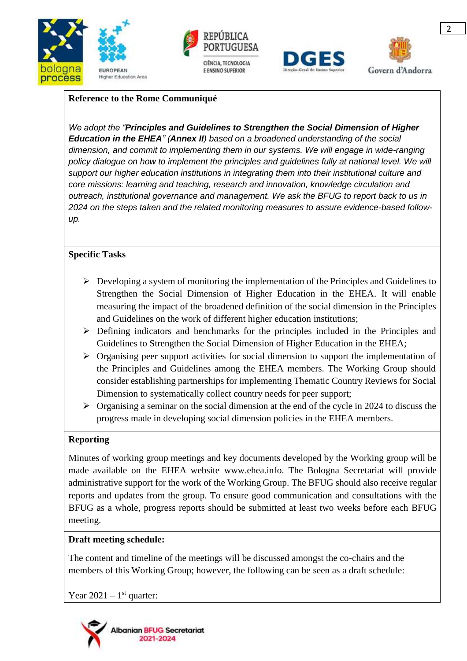







### **Reference to the Rome Communiqué**

*We adopt the "Principles and Guidelines to Strengthen the Social Dimension of Higher Education in the EHEA" (Annex II) based on a broadened understanding of the social dimension, and commit to implementing them in our systems. We will engage in wide-ranging*  policy dialogue on how to implement the principles and guidelines fully at national level. We will *support our higher education institutions in integrating them into their institutional culture and core missions: learning and teaching, research and innovation, knowledge circulation and outreach, institutional governance and management. We ask the BFUG to report back to us in 2024 on the steps taken and the related monitoring measures to assure evidence-based followup.*

## **Specific Tasks**

- $\triangleright$  Developing a system of monitoring the implementation of the Principles and Guidelines to Strengthen the Social Dimension of Higher Education in the EHEA. It will enable measuring the impact of the broadened definition of the social dimension in the Principles and Guidelines on the work of different higher education institutions;
- $\triangleright$  Defining indicators and benchmarks for the principles included in the Principles and Guidelines to Strengthen the Social Dimension of Higher Education in the EHEA;
- $\triangleright$  Organising peer support activities for social dimension to support the implementation of the Principles and Guidelines among the EHEA members. The Working Group should consider establishing partnerships for implementing Thematic Country Reviews for Social Dimension to systematically collect country needs for peer support;
- $\triangleright$  Organising a seminar on the social dimension at the end of the cycle in 2024 to discuss the progress made in developing social dimension policies in the EHEA members.

#### **Reporting**

Minutes of working group meetings and key documents developed by the Working group will be made available on the EHEA website [www.ehea.info.](http://www.ehea.info/) The Bologna Secretariat will provide administrative support for the work of the Working Group. The BFUG should also receive regular reports and updates from the group. To ensure good communication and consultations with the BFUG as a whole, progress reports should be submitted at least two weeks before each BFUG meeting.

#### **Draft meeting schedule:**

The content and timeline of the meetings will be discussed amongst the co-chairs and the members of this Working Group; however, the following can be seen as a draft schedule:

Year  $2021 - 1$ <sup>st</sup> quarter: